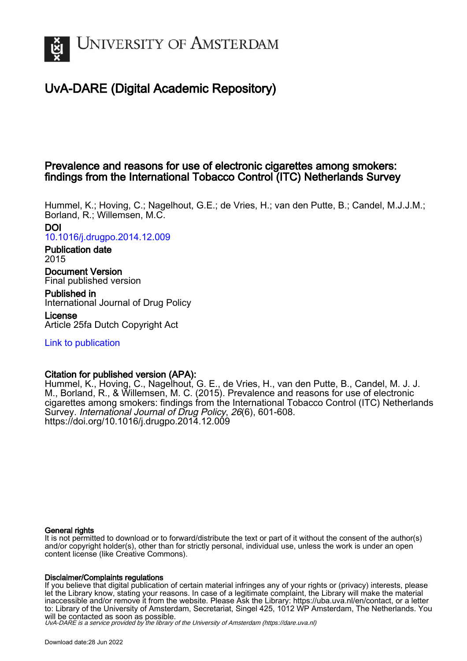

# UvA-DARE (Digital Academic Repository)

# Prevalence and reasons for use of electronic cigarettes among smokers: findings from the International Tobacco Control (ITC) Netherlands Survey

Hummel, K.; Hoving, C.; Nagelhout, G.E.; de Vries, H.; van den Putte, B.; Candel, M.J.J.M.; Borland, R.; Willemsen, M.C. DOI

[10.1016/j.drugpo.2014.12.009](https://doi.org/10.1016/j.drugpo.2014.12.009)

Publication date 2015

Document Version Final published version

Published in International Journal of Drug Policy

License Article 25fa Dutch Copyright Act

[Link to publication](https://dare.uva.nl/personal/pure/en/publications/prevalence-and-reasons-for-use-of-electronic-cigarettes-among-smokers-findings-from-the-international-tobacco-control-itc-netherlands-survey(7d97f347-6d77-488f-bc84-72eff0b9d53c).html)

## Citation for published version (APA):

Hummel, K., Hoving, C., Nagelhout, G. E., de Vries, H., van den Putte, B., Candel, M. J. J. M., Borland, R., & Willemsen, M. C. (2015). Prevalence and reasons for use of electronic cigarettes among smokers: findings from the International Tobacco Control (ITC) Netherlands Survey. International Journal of Drug Policy, 26(6), 601-608. <https://doi.org/10.1016/j.drugpo.2014.12.009>

## General rights

It is not permitted to download or to forward/distribute the text or part of it without the consent of the author(s) and/or copyright holder(s), other than for strictly personal, individual use, unless the work is under an open content license (like Creative Commons).

## Disclaimer/Complaints regulations

If you believe that digital publication of certain material infringes any of your rights or (privacy) interests, please let the Library know, stating your reasons. In case of a legitimate complaint, the Library will make the material inaccessible and/or remove it from the website. Please Ask the Library: https://uba.uva.nl/en/contact, or a letter to: Library of the University of Amsterdam, Secretariat, Singel 425, 1012 WP Amsterdam, The Netherlands. You will be contacted as soon as possible.

UvA-DARE is a service provided by the library of the University of Amsterdam (http*s*://dare.uva.nl)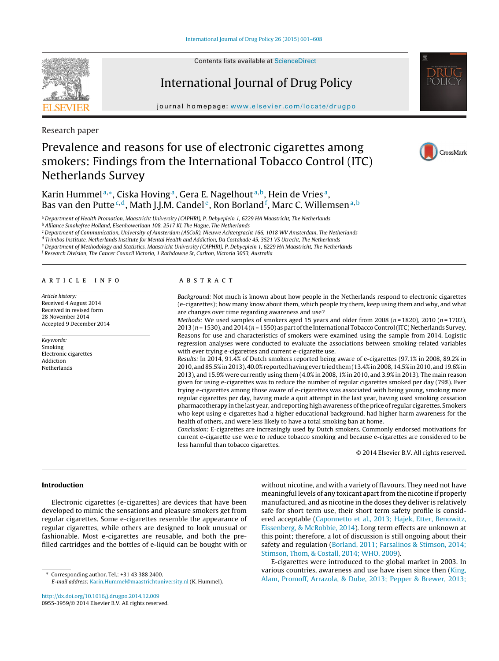Contents lists available at [ScienceDirect](http://www.sciencedirect.com/science/journal/09553959)

# International Journal of Drug Policy

journal homepage: [www.elsevier.com/locate/drugpo](http://www.elsevier.com/locate/drugpo)

Research paper

# Prevalence and reasons for use of electronic cigarettes among smokers: Findings from the International Tobacco Control (ITC) Netherlands Survey

Karin Hummel<sup>a,\*</sup>, Ciska Hoving<sup>a</sup>, Gera E. Nagelhout<sup>a,b</sup>, Hein de Vries<sup>a</sup>, Bas van den Putte<sup>c,d</sup>, Math J.J.M. Candel<sup>e</sup>, Ron Borland <sup>f</sup>, Marc C. Willemsen <sup>a, b</sup>

<sup>a</sup> Department of Health Promotion, Maastricht University (CAPHRI), P. Debyeplein 1, 6229 HA Maastricht, The Netherlands

<sup>b</sup> Alliance Smokefree Holland, Eisenhowerlaan 108, 2517 KL The Hague, The Netherlands

<sup>c</sup> Department of Communication, University of Amsterdam (ASCoR), Nieuwe Achtergracht 166, 1018 WV Amsterdam, The Netherlands

<sup>d</sup> Trimbos Institute, Netherlands Institute for Mental Health and Addiction, Da Costakade 45, 3521 VS Utrecht, The Netherlands

<sup>e</sup> Department of Methodology and Statistics, Maastricht University (CAPHRI), P. Debyeplein 1, 6229 HA Maastricht, The Netherlands

<sup>f</sup> Research Division, The Cancer Council Victoria, 1 Rathdowne St, Carlton, Victoria 3053, Australia

#### a r t i c l e i n f o

Article history: Received 4 August 2014 Received in revised form 28 November 2014 Accepted 9 December 2014

#### Keywords: Smoking Electronic cigarettes Addiction Netherlands



A B S T R A C T

Background: Not much is known about how people in the Netherlands respond to electronic cigarettes (e-cigarettes); how many know about them, which people try them, keep using them and why, and what are changes over time regarding awareness and use?

Methods: We used samples of smokers aged 15 years and older from 2008 ( $n = 1820$ ), 2010 ( $n = 1702$ ), 2013 ( $n = 1530$ ), and 2014 ( $n = 1550$ ) as part of the International Tobacco Control (ITC) Netherlands Survey. Reasons for use and characteristics of smokers were examined using the sample from 2014. Logistic regression analyses were conducted to evaluate the associations between smoking-related variables with ever trying e-cigarettes and current e-cigarette use.

Results: In 2014, 91.4% of Dutch smokers reported being aware of e-cigarettes (97.1% in 2008, 89.2% in 2010, and 85.5% in 2013), 40.0% reported having ever tried them (13.4% in 2008, 14.5% in 2010, and 19.6% in 2013), and 15.9% were currently using them (4.0% in 2008, 1% in 2010, and 3.9% in 2013). The main reason given for using e-cigarettes was to reduce the number of regular cigarettes smoked per day (79%). Ever trying e-cigarettes among those aware of e-cigarettes was associated with being young, smoking more regular cigarettes per day, having made a quit attempt in the last year, having used smoking cessation pharmacotherapy in the last year, and reporting high awareness ofthe price of regular cigarettes. Smokers who kept using e-cigarettes had a higher educational background, had higher harm awareness for the health of others, and were less likely to have a total smoking ban at home.

Conclusion: E-cigarettes are increasingly used by Dutch smokers. Commonly endorsed motivations for current e-cigarette use were to reduce tobacco smoking and because e-cigarettes are considered to be less harmful than tobacco cigarettes.

© 2014 Elsevier B.V. All rights reserved.

## **Introduction**

Electronic cigarettes (e-cigarettes) are devices that have been developed to mimic the sensations and pleasure smokers get from regular cigarettes. Some e-cigarettes resemble the appearance of regular cigarettes, while others are designed to look unusual or fashionable. Most e-cigarettes are reusable, and both the prefilled cartridges and the bottles of e-liquid can be bought with or

∗ Corresponding author. Tel.: +31 43 388 2400. E-mail address: [Karin.Hummel@maastrichtuniversity.nl](mailto:Karin.Hummel@maastrichtuniversity.nl) (K. Hummel).

[http://dx.doi.org/10.1016/j.drugpo.2014.12.009](dx.doi.org/10.1016/j.drugpo.2014.12.009) 0955-3959/© 2014 Elsevier B.V. All rights reserved. without nicotine, and with a variety of flavours. They need not have meaningful levels of any toxicant apart from the nicotine if properly manufactured, and as nicotine in the doses they deliver is relatively safe for short term use, their short term safety profile is considered acceptable ([Caponnetto](#page-7-0) et [al.,](#page-7-0) [2013;](#page-7-0) [Hajek,](#page-7-0) [Etter,](#page-7-0) [Benowitz,](#page-7-0) [Eissenberg,](#page-7-0) [&](#page-7-0) [McRobbie,](#page-7-0) [2014\).](#page-7-0) Long term effects are unknown at this point; therefore, a lot of discussion is still ongoing about their safety and regulation ([Borland,](#page-7-0) [2011;](#page-7-0) [Farsalinos](#page-7-0) [&](#page-7-0) [Stimson,](#page-7-0) [2014;](#page-7-0) [Stimson,](#page-7-0) [Thom,](#page-7-0) [&](#page-7-0) [Costall,](#page-7-0) [2014;](#page-7-0) [WHO,](#page-7-0) [2009\).](#page-7-0)

E-cigarettes were introduced to the global market in 2003. In various countries, awareness and use have risen since then [\(King,](#page-8-0) [Alam,](#page-8-0) [Promoff,](#page-8-0) [Arrazola,](#page-8-0) [&](#page-8-0) [Dube,](#page-8-0) [2013;](#page-8-0) [Pepper](#page-8-0) [&](#page-8-0) [Brewer,](#page-8-0) [2013;](#page-8-0)





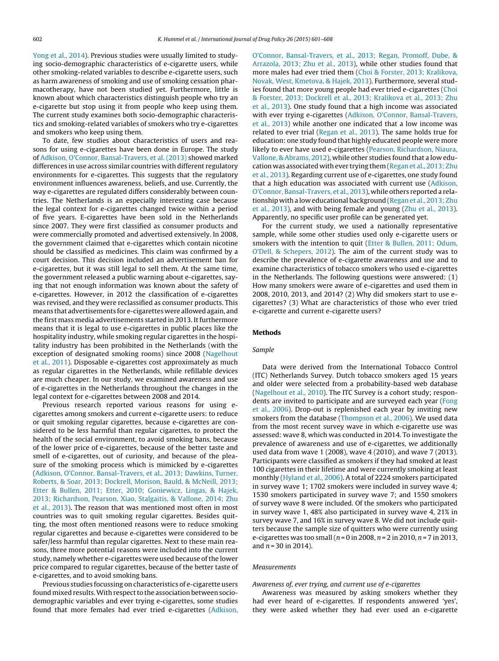[Yong](#page-8-0) et [al.,](#page-8-0) [2014\).](#page-8-0) Previous studies were usually limited to studying socio-demographic characteristics of e-cigarette users, while other smoking-related variables to describe e-cigarette users, such as harm awareness of smoking and use of smoking cessation pharmacotherapy, have not been studied yet. Furthermore, little is known about which characteristics distinguish people who try an e-cigarette but stop using it from people who keep using them. The current study examines both socio-demographic characteristics and smoking-related variables of smokers who try e-cigarettes and smokers who keep using them.

To date, few studies about characteristics of users and reasons for using e-cigarettes have been done in Europe. The study of [Adkison,](#page-7-0) [O'Connor,](#page-7-0) [Bansal-Travers,](#page-7-0) et [al.](#page-7-0) [\(2013\)](#page-7-0) showed marked differences in use across similar countries with different regulatory environments for e-cigarettes. This suggests that the regulatory environment influences awareness, beliefs, and use. Currently, the way e-cigarettes are regulated differs considerably between countries. The Netherlands is an especially interesting case because the legal context for e-cigarettes changed twice within a period of five years. E-cigarettes have been sold in the Netherlands since 2007. They were first classified as consumer products and were commercially promoted and advertised extensively. In 2008, the government claimed that e-cigarettes which contain nicotine should be classified as medicines. This claim was confirmed by a court decision. This decision included an advertisement ban for e-cigarettes, but it was still legal to sell them. At the same time, the government released a public warning about e-cigarettes, saying that not enough information was known about the safety of e-cigarettes. However, in 2012 the classification of e-cigarettes was revised, and they were reclassified as consumer products. This means that advertisements for e-cigarettes were allowed again, and the first mass media advertisements started in 2013. It furthermore means that it is legal to use e-cigarettes in public places like the hospitality industry, while smoking regular cigarettes in the hospitality industry has been prohibited in the Netherlands (with the exception of designated smoking rooms) since 2008 ([Nagelhout](#page-8-0) et [al.,](#page-8-0) [2011\).](#page-8-0) Disposable e-cigarettes cost approximately as much as regular cigarettes in the Netherlands, while refillable devices are much cheaper. In our study, we examined awareness and use of e-cigarettes in the Netherlands throughout the changes in the legal context for e-cigarettes between 2008 and 2014.

Previous research reported various reasons for using ecigarettes among smokers and current e-cigarette users: to reduce or quit smoking regular cigarettes, because e-cigarettes are considered to be less harmful than regular cigarettes, to protect the health of the social environment, to avoid smoking bans, because of the lower price of e-cigarettes, because of the better taste and smell of e-cigarettes, out of curiosity, and because of the pleasure of the smoking process which is mimicked by e-cigarettes ([Adkison,](#page-7-0) [O'Connor,](#page-7-0) [Bansal-Travers,](#page-7-0) et [al.,](#page-7-0) [2013;](#page-7-0) [Dawkins,](#page-7-0) [Turner,](#page-7-0) [Roberts,](#page-7-0) [&](#page-7-0) [Soar,](#page-7-0) [2013;](#page-7-0) [Dockrell,](#page-7-0) [Morison,](#page-7-0) [Bauld,](#page-7-0) [&](#page-7-0) [McNeill,](#page-7-0) [2013;](#page-7-0) [Etter](#page-7-0) [&](#page-7-0) [Bullen,](#page-7-0) [2011;](#page-7-0) [Etter,](#page-7-0) [2010;](#page-7-0) [Goniewicz,](#page-7-0) [Lingas,](#page-7-0) [&](#page-7-0) [Hajek,](#page-7-0) [2013;](#page-7-0) [Richardson,](#page-7-0) [Pearson,](#page-7-0) [Xiao,](#page-7-0) [Stalgaitis,](#page-7-0) [&](#page-7-0) [Vallone,](#page-7-0) [2014;](#page-7-0) [Zhu](#page-7-0) et [al.,](#page-7-0) [2013\).](#page-7-0) The reason that was mentioned most often in most countries was to quit smoking regular cigarettes. Besides quitting, the most often mentioned reasons were to reduce smoking regular cigarettes and because e-cigarettes were considered to be safer/less harmful than regular cigarettes. Next to these main reasons, three more potential reasons were included into the current study, namely whether e-cigarettes were used because ofthe lower price compared to regular cigarettes, because of the better taste of e-cigarettes, and to avoid smoking bans.

Previous studies focussing on characteristics of e-cigarette users found mixed results. With respect to the association between sociodemographic variables and ever trying e-cigarettes, some studies found that more females had ever tried e-cigarettes ([Adkison,](#page-7-0)

[O'Connor,](#page-7-0) [Bansal-Travers,](#page-7-0) et [al.,](#page-7-0) [2013;](#page-7-0) [Regan,](#page-7-0) [Promoff,](#page-7-0) [Dube,](#page-7-0) [&](#page-7-0) [Arrazola,](#page-7-0) [2013;](#page-7-0) [Zhu](#page-7-0) et [al.,](#page-7-0) [2013\),](#page-7-0) while other studies found that more males had ever tried them [\(Choi](#page-7-0) [&](#page-7-0) [Forster,](#page-7-0) [2013;](#page-7-0) [Kralikova,](#page-7-0) [Novak,](#page-7-0) [West,](#page-7-0) [Kmetova,](#page-7-0) [&](#page-7-0) [Hajek,](#page-7-0) [2013\).](#page-7-0) Furthermore, several stud-ies found that more young people had ever tried e-cigarettes ([Choi](#page-7-0) [&](#page-7-0) [Forster,](#page-7-0) [2013;](#page-7-0) [Dockrell](#page-7-0) et [al.,](#page-7-0) [2013;](#page-7-0) [Kralikova](#page-7-0) et [al.,](#page-7-0) [2013;](#page-7-0) [Zhu](#page-7-0) et [al.,](#page-7-0) [2013\).](#page-7-0) One study found that a high income was associated with ever trying e-cigarettes [\(Adkison,](#page-7-0) [O'Connor,](#page-7-0) [Bansal-Travers,](#page-7-0) et [al.,](#page-7-0) [2013\)](#page-7-0) while another one indicated that a low income was related to ever trial ([Regan](#page-8-0) et [al.,](#page-8-0) [2013\).](#page-8-0) The same holds true for education: one study found that highly educated people were more likely to ever have used e-cigarettes [\(Pearson,](#page-8-0) [Richardson,](#page-8-0) [Niaura,](#page-8-0) [Vallone,](#page-8-0) [&](#page-8-0) [Abrams,](#page-8-0) [2012\),](#page-8-0) while other studies found that a low education was associated with ever trying them [\(Regan](#page-8-0) et [al.,](#page-8-0) [2013;](#page-8-0) [Zhu](#page-8-0) et [al.,](#page-8-0) [2013\).](#page-8-0) Regarding current use of e-cigarettes, one study found that a high education was associated with current use [\(Adkison,](#page-7-0) [O'Connor,](#page-7-0) [Bansal-Travers,](#page-7-0) et [al.,](#page-7-0) [2013\),](#page-7-0) while others reported a relationship with a low educational background ([Regan](#page-8-0) et [al.,](#page-8-0) [2013;](#page-8-0) [Zhu](#page-8-0) et [al.,](#page-8-0) [2013\),](#page-8-0) and with being female and young ([Zhu](#page-8-0) et [al.,](#page-8-0) [2013\).](#page-8-0) Apparently, no specific user profile can be generated yet.

For the current study, we used a nationally representative sample, while some other studies used only e-cigarette users or smokers with the intention to quit ([Etter](#page-8-0) [&](#page-8-0) [Bullen,](#page-8-0) [2011;](#page-8-0) [Odum,](#page-8-0) [O'Dell,](#page-8-0) [&](#page-8-0) [Schepers,](#page-8-0) [2012\).](#page-8-0) The aim of the current study was to describe the prevalence of e-cigarette awareness and use and to examine characteristics of tobacco smokers who used e-cigarettes in the Netherlands. The following questions were answered: (1) How many smokers were aware of e-cigarettes and used them in 2008, 2010, 2013, and 2014? (2) Why did smokers start to use ecigarettes? (3) What are characteristics of those who ever tried e-cigarette and current e-cigarette users?

## **Methods**

## Sample

Data were derived from the International Tobacco Control (ITC) Netherlands Survey. Dutch tobacco smokers aged 15 years and older were selected from a probability-based web database [\(Nagelhout](#page-8-0) et [al.,](#page-8-0) [2010\).](#page-8-0) The ITC Survey is a cohort study; respon-dents are invited to participate and are surveyed each year ([Fong](#page-8-0) et [al.,](#page-8-0) [2006\).](#page-8-0) Drop-out is replenished each year by inviting new smokers from the database ([Thompson](#page-8-0) et [al.,](#page-8-0) [2006\).](#page-8-0) We used data from the most recent survey wave in which e-cigarette use was assessed: wave 8, which was conducted in 2014. To investigate the prevalence of awareness and use of e-cigarettes, we additionally used data from wave 1 (2008), wave 4 (2010), and wave 7 (2013). Participants were classified as smokers if they had smoked at least 100 cigarettes in their lifetime and were currently smoking at least monthly ([Hyland](#page-8-0) et [al.,](#page-8-0) [2006\).](#page-8-0) A total of 2224 smokers participated in survey wave 1; 1702 smokers were included in survey wave 4; 1530 smokers participated in survey wave 7; and 1550 smokers of survey wave 8 were included. Of the smokers who participated in survey wave 1, 48% also participated in survey wave 4, 21% in survey wave 7, and 16% in survey wave 8. We did not include quitters because the sample size of quitters who were currently using e-cigarettes was too small ( $n = 0$  in 2008,  $n = 2$  in 2010,  $n = 7$  in 2013, and  $n = 30$  in 2014).

### Measurements

### Awareness of, ever trying, and current use of e-cigarettes

Awareness was measured by asking smokers whether they had ever heard of e-cigarettes. If respondents answered 'yes', they were asked whether they had ever used an e-cigarette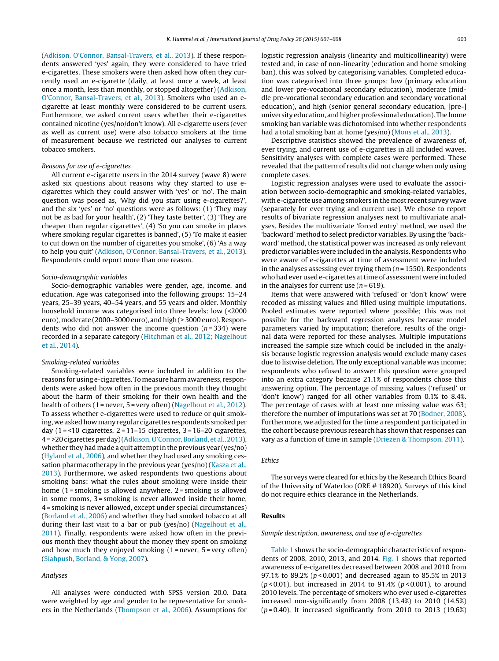([Adkison,](#page-7-0) [O'Connor,](#page-7-0) [Bansal-Travers,](#page-7-0) et [al.,](#page-7-0) [2013\).](#page-7-0) If these respondents answered 'yes' again, they were considered to have tried e-cigarettes. These smokers were then asked how often they currently used an e-cigarette (daily, at least once a week, at least once a month, less than monthly, or stopped altogether) [\(Adkison,](#page-7-0) [O'Connor,](#page-7-0) [Bansal-Travers,](#page-7-0) et [al.,](#page-7-0) [2013\).](#page-7-0) Smokers who used an ecigarette at least monthly were considered to be current users. Furthermore, we asked current users whether their e-cigarettes contained nicotine (yes/no/don't know). All e-cigarette users (ever as well as current use) were also tobacco smokers at the time of measurement because we restricted our analyses to current tobacco smokers.

## Reasons for use of e-cigarettes

All current e-cigarette users in the 2014 survey (wave 8) were asked six questions about reasons why they started to use ecigarettes which they could answer with 'yes' or 'no'. The main question was posed as, 'Why did you start using e-cigarettes?', and the six 'yes' or 'no' questions were as follows: (1) 'They may not be as bad for your health', (2) 'They taste better', (3) 'They are cheaper than regular cigarettes', (4) 'So you can smoke in places where smoking regular cigarettes is banned', (5) 'To make it easier to cut down on the number of cigarettes you smoke', (6) 'As a way to help you quit' [\(Adkison,](#page-7-0) [O'Connor,](#page-7-0) [Bansal-Travers,](#page-7-0) et [al.,](#page-7-0) [2013\).](#page-7-0) Respondents could report more than one reason.

## Socio-demographic variables

Socio-demographic variables were gender, age, income, and education. Age was categorised into the following groups: 15–24 years, 25–39 years, 40–54 years, and 55 years and older. Monthly household income was categorised into three levels: low (<2000 euro), moderate (2000–3000 euro), and high (> 3000 euro). Respondents who did not answer the income question  $(n=334)$  were recorded in a separate category ([Hitchman](#page-8-0) et [al.,](#page-8-0) [2012;](#page-8-0) [Nagelhout](#page-8-0) et [al.,](#page-8-0) [2014\).](#page-8-0)

#### Smoking-related variables

Smoking-related variables were included in addition to the reasons for using e-cigarettes. To measure harm awareness, respondents were asked how often in the previous month they thought about the harm of their smoking for their own health and the health of others (1 = never, 5 = very often) ([Nagelhout](#page-8-0) et [al.,](#page-8-0) [2012\).](#page-8-0) To assess whether e-cigarettes were used to reduce or quit smoking, we asked how many regular cigarettes respondents smoked per day  $(1 = 10$  cigarettes,  $2 = 11 - 15$  cigarettes,  $3 = 16 - 20$  cigarettes, 4 = >20 cigarettes per day)([Adkison,](#page-7-0) O'Connor, Borland, et [al.,](#page-7-0) [2013\),](#page-7-0) whether they had made a quit attempt in the previous year (yes/no) ([Hyland](#page-8-0) et [al.,](#page-8-0) [2006\),](#page-8-0) and whether they had used any smoking ces-sation pharmacotherapy in the previous year (yes/no) ([Kasza](#page-8-0) et [al.,](#page-8-0) [2013\).](#page-8-0) Furthermore, we asked respondents two questions about smoking bans: what the rules about smoking were inside their home  $(1 =$ smoking is allowed anywhere,  $2 =$ smoking is allowed in some rooms, 3 = smoking is never allowed inside their home, 4 = smoking is never allowed, except under special circumstances) ([Borland](#page-7-0) et [al.,](#page-7-0) [2006\)](#page-7-0) and whether they had smoked tobacco at all during their last visit to a bar or pub (yes/no) [\(Nagelhout](#page-8-0) et [al.,](#page-8-0) [2011\).](#page-8-0) Finally, respondents were asked how often in the previous month they thought about the money they spent on smoking and how much they enjoyed smoking  $(1 =$  never,  $5 =$  very often) ([Siahpush,](#page-8-0) [Borland,](#page-8-0) [&](#page-8-0) [Yong,](#page-8-0) [2007\).](#page-8-0)

## Analyses

All analyses were conducted with SPSS version 20.0. Data were weighted by age and gender to be representative for smokers in the Netherlands [\(Thompson](#page-8-0) et [al.,](#page-8-0) [2006\).](#page-8-0) Assumptions for logistic regression analysis (linearity and multicollinearity) were tested and, in case of non-linearity (education and home smoking ban), this was solved by categorising variables. Completed education was categorised into three groups: low (primary education and lower pre-vocational secondary education), moderate (middle pre-vocational secondary education and secondary vocational education), and high (senior general secondary education, [pre-] university education, and higher professional education). The home smoking ban variable was dichotomised into whether respondents had a total smoking ban at home (yes/no) [\(Mons](#page-8-0) et [al.,](#page-8-0) [2013\).](#page-8-0)

Descriptive statistics showed the prevalence of awareness of, ever trying, and current use of e-cigarettes in all included waves. Sensitivity analyses with complete cases were performed. These revealed that the pattern of results did not change when only using complete cases.

Logistic regression analyses were used to evaluate the association between socio-demographic and smoking-related variables, with e-cigarette use among smokers in the most recent survey wave (separately for ever trying and current use). We chose to report results of bivariate regression analyses next to multivariate analyses. Besides the multivariate 'forced entry' method, we used the 'backward' method to select predictor variables. By using the 'backward' method, the statistical power was increased as only relevant predictor variables were included in the analysis. Respondents who were aware of e-cigarettes at time of assessment were included in the analyses assessing ever trying them  $(n = 1550)$ . Respondents who had ever used e-cigarettes at time of assessment were included in the analyses for current use  $(n=619)$ .

Items that were answered with 'refused' or 'don't know' were recoded as missing values and filled using multiple imputations. Pooled estimates were reported where possible; this was not possible for the backward regression analyses because model parameters varied by imputation; therefore, results of the original data were reported for these analyses. Multiple imputations increased the sample size which could be included in the analysis because logistic regression analysis would exclude many cases due to listwise deletion. The only exceptional variable was income; respondents who refused to answer this question were grouped into an extra category because 21.1% of respondents chose this answering option. The percentage of missing values ('refused' or 'don't know') ranged for all other variables from 0.1% to 8.4%. The percentage of cases with at least one missing value was 63; therefore the number of imputations was set at 70 [\(Bodner,](#page-7-0) [2008\).](#page-7-0) Furthermore, we adjusted for the time a respondent participated in the cohort because previous research has shown that responses can vary as a function of time in sample ([Driezen](#page-7-0) [&](#page-7-0) [Thompson,](#page-7-0) [2011\).](#page-7-0)

## Ethics

The surveys were cleared for ethics by the Research Ethics Board of the University of Waterloo (ORE # 18920). Surveys of this kind do not require ethics clearance in the Netherlands.

## **Results**

### Sample description, awareness, and use of e-cigarettes

[Table](#page-4-0) 1 shows the socio-demographic characteristics of respondents of 2008, 2010, 2013, and 2014. [Fig.](#page-4-0) 1 shows that reported awareness of e-cigarettes decreased between 2008 and 2010 from 97.1% to 89.2% ( $p$ <0.001) and decreased again to 85.5% in 2013 ( $p$  < 0.01), but increased in 2014 to 91.4% ( $p$  < 0.001), to around 2010 levels. The percentage of smokers who ever used e-cigarettes increased non-significantly from 2008 (13.4%) to 2010 (14.5%)  $(p=0.40)$ . It increased significantly from 2010 to 2013 (19.6%)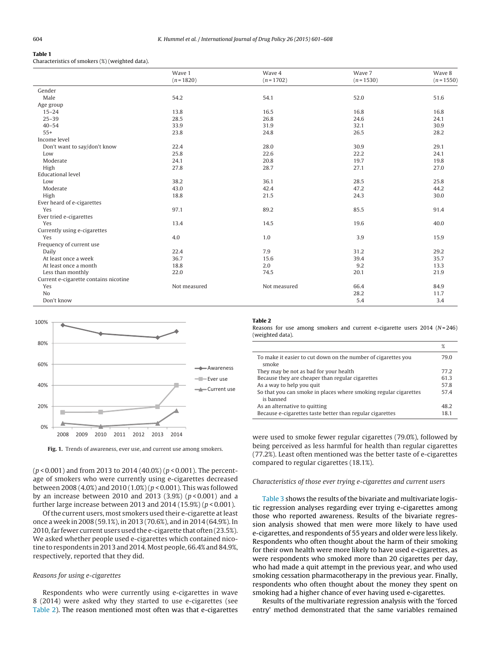## <span id="page-4-0"></span>**Table 1**

Characteristics of smokers (%) (weighted data).

|                                       | Wave 1<br>$(n = 1820)$ | Wave 4<br>$(n=1702)$ | Wave 7<br>$(n=1530)$ | Wave 8<br>$(n = 1550)$ |
|---------------------------------------|------------------------|----------------------|----------------------|------------------------|
|                                       |                        |                      |                      |                        |
| Gender                                |                        |                      |                      |                        |
| Male                                  | 54.2                   | 54.1                 | 52.0                 | 51.6                   |
| Age group                             |                        |                      |                      |                        |
| $15 - 24$                             | 13.8                   | 16.5                 | 16.8                 | 16.8                   |
| $25 - 39$                             | 28.5                   | 26.8                 | 24.6                 | 24.1                   |
| $40 - 54$                             | 33.9                   | 31.9                 | 32.1                 | 30.9                   |
| $55+$                                 | 23.8                   | 24.8                 | 26.5                 | 28.2                   |
| Income level                          |                        |                      |                      |                        |
| Don't want to say/don't know          | 22.4                   | 28.0                 | 30.9                 | 29.1                   |
| Low                                   | 25.8                   | 22.6                 | 22.2                 | 24.1                   |
| Moderate                              | 24.1                   | 20.8                 | 19.7                 | 19.8                   |
| High                                  | 27.8                   | 28.7                 | 27.1                 | 27.0                   |
| <b>Educational level</b>              |                        |                      |                      |                        |
| Low                                   | 38.2                   | 36.1                 | 28.5                 | 25.8                   |
| Moderate                              | 43.0                   | 42.4                 | 47.2                 | 44.2                   |
| High                                  | 18.8                   | 21.5                 | 24.3                 | 30.0                   |
| Ever heard of e-cigarettes            |                        |                      |                      |                        |
| Yes                                   | 97.1                   | 89.2                 | 85.5                 | 91.4                   |
| Ever tried e-cigarettes               |                        |                      |                      |                        |
| Yes                                   | 13.4                   | 14.5                 | 19.6                 | 40.0                   |
| Currently using e-cigarettes          |                        |                      |                      |                        |
| Yes                                   | 4.0                    | 1.0                  | 3.9                  | 15.9                   |
| Frequency of current use              |                        |                      |                      |                        |
| Daily                                 | 22.4                   | 7.9                  | 31.2                 | 29.2                   |
| At least once a week                  | 36.7                   | 15.6                 | 39.4                 | 35.7                   |
| At least once a month                 | 18.8                   | 2.0                  | 9.2                  | 13.3                   |
| Less than monthly                     | 22.0                   | 74.5                 | 20.1                 | 21.9                   |
| Current e-cigarette contains nicotine |                        |                      |                      |                        |
| Yes                                   | Not measured           | Not measured         | 66.4                 | 84.9                   |
| No                                    |                        |                      | 28.2                 | 11.7                   |
| Don't know                            |                        |                      | 5.4                  | 3.4                    |



**Fig. 1.** Trends of awareness, ever use, and current use among smokers.

 $(p < 0.001)$  and from 2013 to 2014 (40.0%) ( $p < 0.001$ ). The percentage of smokers who were currently using e-cigarettes decreased between 2008 (4.0%) and 2010 (1.0%) (p < 0.001). This was followed by an increase between 2010 and 2013 (3.9%) ( $p < 0.001$ ) and a further large increase between 2013 and 2014 (15.9%) ( $p < 0.001$ ).

Ofthe current users, most smokers used their e-cigarette atleast once a week in 2008 (59.1%), in 2013 (70.6%), and in 2014 (64.9%). In 2010, far fewer current users used the e-cigarette that often (23.5%). We asked whether people used e-cigarettes which contained nicotine to respondents in 2013 and 2014. Most people, 66.4% and 84.9%, respectively, reported that they did.

## Reasons for using e-cigarettes

Respondents who were currently using e-cigarettes in wave 8 (2014) were asked why they started to use e-cigarettes (see Table 2). The reason mentioned most often was that e-cigarettes

#### **Table 2**

Reasons for use among smokers and current e-cigarette users  $2014$  (N=246) (weighted data).

|                                                                               | %    |
|-------------------------------------------------------------------------------|------|
| To make it easier to cut down on the number of cigarettes you<br>smoke        | 79.0 |
| They may be not as bad for your health                                        | 77.2 |
| Because they are cheaper than regular cigarettes                              | 61.3 |
| As a way to help you quit                                                     | 57.8 |
| So that you can smoke in places where smoking regular cigarettes<br>is banned | 57.4 |
| As an alternative to quitting                                                 | 48.2 |
| Because e-cigarettes taste better than regular cigarettes                     | 18.1 |

were used to smoke fewer regular cigarettes (79.0%), followed by being perceived as less harmful for health than regular cigarettes (77.2%). Least often mentioned was the better taste of e-cigarettes compared to regular cigarettes (18.1%).

#### Characteristics of those ever trying e-cigarettes and current users

[Table](#page-5-0) 3 shows the results of the bivariate and multivariate logistic regression analyses regarding ever trying e-cigarettes among those who reported awareness. Results of the bivariate regression analysis showed that men were more likely to have used e-cigarettes, and respondents of 55 years and older were less likely. Respondents who often thought about the harm of their smoking for their own health were more likely to have used e-cigarettes, as were respondents who smoked more than 20 cigarettes per day, who had made a quit attempt in the previous year, and who used smoking cessation pharmacotherapy in the previous year. Finally, respondents who often thought about the money they spent on smoking had a higher chance of ever having used e-cigarettes.

Results of the multivariate regression analysis with the 'forced entry' method demonstrated that the same variables remained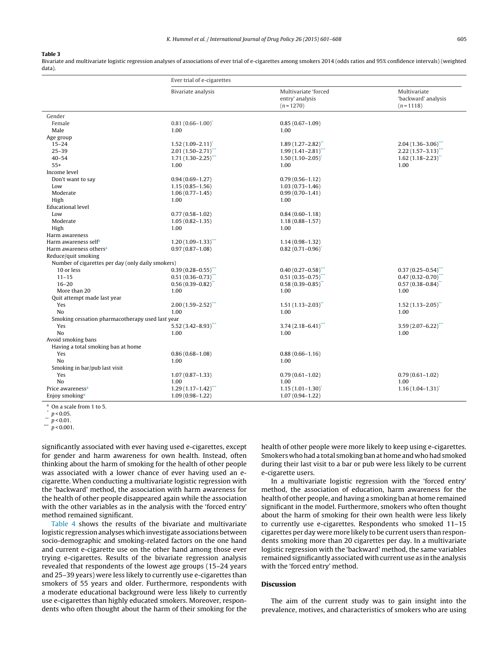#### <span id="page-5-0"></span>**Table 3**

Bivariate and multivariate logistic regression analyses of associations of ever trial of e-cigarettes among smokers 2014 (odds ratios and 95% confidence intervals) (weighted data).

|                                                         | Ever trial of e-cigarettes        |                                                       |                                                   |
|---------------------------------------------------------|-----------------------------------|-------------------------------------------------------|---------------------------------------------------|
|                                                         | Bivariate analysis                | Multivariate 'forced<br>entry' analysis<br>$(n=1270)$ | Multivariate<br>'backward' analysis<br>$(n=1118)$ |
| Gender                                                  |                                   |                                                       |                                                   |
| Female                                                  | $0.81(0.66 - 1.00)^{*}$           | $0.85(0.67 - 1.09)$                                   |                                                   |
| Male                                                    | 1.00                              | 1.00                                                  |                                                   |
| Age group                                               |                                   |                                                       |                                                   |
| $15 - 24$                                               | $1.52(1.09 - 2.11)^{*}$           | $1.89(1.27 - 2.82)$                                   | $2.04(1.36 - 3.06)^{***}$                         |
| $25 - 39$                                               | $2.01(1.50-2.71)$ ***             | $1.99(1.41 - 2.81)$ **                                | $2.22(1.57 - 3.13)^{44}$                          |
| $40 - 54$                                               | $1.71(1.30 - 2.25)$               | $1.50(1.10-2.05)$                                     | $1.62(1.18 - 2.23)$                               |
| $55+$                                                   | 1.00                              | 1.00                                                  | 1.00                                              |
| Income level                                            |                                   |                                                       |                                                   |
| Don't want to say                                       | $0.94(0.69 - 1.27)$               | $0.79(0.56 - 1.12)$                                   |                                                   |
| Low                                                     | $1.15(0.85 - 1.56)$               | $1.03(0.73 - 1.46)$                                   |                                                   |
| Moderate                                                | $1.06(0.77 - 1.45)$               | $0.99(0.70 - 1.41)$                                   |                                                   |
| High                                                    | 1.00                              | 1.00                                                  |                                                   |
| <b>Educational level</b>                                |                                   |                                                       |                                                   |
| Low                                                     | $0.77(0.58 - 1.02)$               | $0.84(0.60 - 1.18)$                                   |                                                   |
| Moderate                                                | $1.05(0.82 - 1.35)$               | $1.18(0.88 - 1.57)$                                   |                                                   |
| High                                                    | 1.00                              | 1.00                                                  |                                                   |
| Harm awareness                                          |                                   |                                                       |                                                   |
| Harm awareness self <sup>a</sup>                        | $1,20(1.09-1.33)$ ***             | $1.14(0.98 - 1.32)$                                   |                                                   |
| Harm awareness others <sup>a</sup>                      | $0.97(0.87 - 1.08)$               | $0.82(0.71 - 0.96)$                                   |                                                   |
| Reduce/quit smoking                                     |                                   |                                                       |                                                   |
| Number of cigarettes per day (only daily smokers)       |                                   |                                                       |                                                   |
| 10 or less                                              | $0.39(0.28 - 0.55)$ ***           | $0.40(0.27 - 0.58)$                                   | $0.37(0.25 - 0.54)$                               |
| $11 - 15$                                               | $0.51(0.36 - 0.73)$ **            | $0.51(0.35 - 0.75)$ **                                | $0.47(0.32 - 0.70)^{**}$                          |
| $16 - 20$                                               | $0.56(0.39 - 0.82)$               | $0.58(0.39 - 0.85)$                                   | $0.57(0.38 - 0.84)^{**}$                          |
| More than 20                                            | 1.00                              | 1.00                                                  | 1.00                                              |
| Quit attempt made last year                             |                                   |                                                       |                                                   |
| Yes                                                     | $2.00(1.59 - 2.52)^{***}$<br>1.00 | $1.51(1.13 - 2.03)$                                   | $1.52(1.13 - 2.05)$ "                             |
| No                                                      |                                   | 1.00                                                  | 1.00                                              |
| Smoking cessation pharmacotherapy used last year<br>Yes | $5.52(3.42 - 8.93)$ ***           | $3.74(2.18 - 6.41)^{**}$                              | $3.59(2.07 - 6.22)$ ***                           |
| N <sub>o</sub>                                          | 1.00                              | 1.00                                                  | 1.00                                              |
| Avoid smoking bans                                      |                                   |                                                       |                                                   |
| Having a total smoking ban at home                      |                                   |                                                       |                                                   |
| Yes                                                     | $0.86(0.68 - 1.08)$               | $0.88(0.66 - 1.16)$                                   |                                                   |
| No                                                      | 1.00                              | 1.00                                                  |                                                   |
| Smoking in bar/pub last visit                           |                                   |                                                       |                                                   |
| Yes                                                     | $1.07(0.87 - 1.33)$               | $0.79(0.61 - 1.02)$                                   | $0.79(0.61 - 1.02)$                               |
| N <sub>o</sub>                                          | 1.00                              | 1.00                                                  | 1.00                                              |
| Price awareness <sup>a</sup>                            | $1.29(1.17 - 1.42)^{**}$          | $1.15(1.01 - 1.30)^{*}$                               | $1.16(1.04 - 1.31)$                               |
| Enjoy smoking <sup>a</sup>                              | $1.09(0.98 - 1.22)$               | $1.07(0.94 - 1.22)$                                   |                                                   |
|                                                         |                                   |                                                       |                                                   |

<sup>a</sup> On a scale from 1 to 5.

 $p < 0.01$ .

\*\*\*  $p$  < 0.001.

significantly associated with ever having used e-cigarettes, except for gender and harm awareness for own health. Instead, often thinking about the harm of smoking for the health of other people was associated with a lower chance of ever having used an ecigarette. When conducting a multivariate logistic regression with the 'backward' method, the association with harm awareness for the health of other people disappeared again while the association with the other variables as in the analysis with the 'forced entry' method remained significant.

[Table](#page-6-0) 4 shows the results of the bivariate and multivariate logistic regression analyses which investigate associations between socio-demographic and smoking-related factors on the one hand and current e-cigarette use on the other hand among those ever trying e-cigarettes. Results of the bivariate regression analysis revealed that respondents of the lowest age groups (15–24 years and 25–39 years) were less likely to currently use e-cigarettes than smokers of 55 years and older. Furthermore, respondents with a moderate educational background were less likely to currently use e-cigarettes than highly educated smokers. Moreover, respondents who often thought about the harm of their smoking for the

health of other people were more likely to keep using e-cigarettes. Smokers who had a total smoking ban at home and who had smoked during their last visit to a bar or pub were less likely to be current e-cigarette users.

In a multivariate logistic regression with the 'forced entry' method, the association of education, harm awareness for the health of other people, and having a smoking ban at home remained significant in the model. Furthermore, smokers who often thought about the harm of smoking for their own health were less likely to currently use e-cigarettes. Respondents who smoked 11–15 cigarettes per day were more likely to be current users than respondents smoking more than 20 cigarettes per day. In a multivariate logistic regression with the 'backward' method, the same variables remained significantly associated with current use as in the analysis with the 'forced entry' method.

## **Discussion**

The aim of the current study was to gain insight into the prevalence, motives, and characteristics of smokers who are using

 $p < 0.05$ .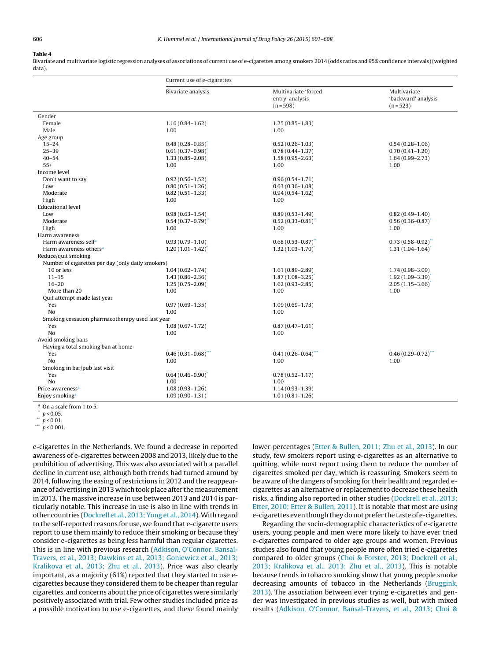## <span id="page-6-0"></span>**Table 4**

Bivariate and multivariate logistic regression analyses of associations of current use of e-cigarettes among smokers 2014 (odds ratios and 95% confidence intervals) (weighted data).

| Multivariate 'forced<br>Bivariate analysis<br>Multivariate<br>entry' analysis<br>'backward' analysis<br>$(n = 598)$<br>$(n = 523)$<br>Gender<br>Female<br>$1.16(0.84 - 1.62)$<br>$1.25(0.85 - 1.83)$<br>Male<br>1.00<br>1.00<br>Age group<br>$15 - 24$<br>$0.48(0.28 - 0.85)$<br>$0.52(0.26 - 1.03)$<br>$0.54(0.28 - 1.06)$<br>$25 - 39$<br>$0.61(0.37 - 0.98)$<br>$0.78(0.44 - 1.37)$<br>$0.70(0.41 - 1.20)$<br>$40 - 54$<br>$1.33(0.85 - 2.08)$<br>$1.58(0.95 - 2.63)$<br>$1.64(0.99 - 2.73)$<br>$55+$<br>1.00<br>1.00<br>1.00<br>Income level<br>Don't want to say<br>$0.92(0.56 - 1.52)$<br>$0.96(0.54 - 1.71)$<br>Low<br>$0.80(0.51 - 1.26)$<br>$0.63(0.36 - 1.08)$<br>Moderate<br>$0.82(0.51 - 1.33)$<br>$0.94(0.54 - 1.62)$<br>High<br>1.00<br>1.00<br>Educational level<br>Low<br>$0.98(0.63 - 1.54)$<br>$0.89(0.53 - 1.49)$<br>$0.82(0.49 - 1.40)$<br>Moderate<br>$0.54(0.37-0.79)$<br>$0.52(0.33 - 0.81)$ "<br>$0.56(0.36 - 0.87)$<br>High<br>1.00<br>1.00<br>1.00<br>Harm awareness<br>$0.68(0.53 - 0.87)$ **<br>Harm awareness self <sup>a</sup><br>$0.93(0.79 - 1.10)$<br>$0.73(0.58 - 0.92)^{**}$<br>$1.32(1.03 - 1.70)^{*}$<br>Harm awareness others <sup>a</sup><br>$1.20(1.01 - 1.42)$<br>$1.31(1.04 - 1.64)$<br>Reduce/quit smoking<br>Number of cigarettes per day (only daily smokers)<br>10 or less<br>$1.04(0.62 - 1.74)$<br>$1.61(0.89 - 2.89)$<br>$1.74(0.98 - 3.09)$<br>$11 - 15$<br>$1.43(0.86 - 2.36)$<br>$1.87(1.08 - 3.25)$<br>$1.92(1.09 - 3.39)^{4}$<br>$16 - 20$<br>$1.62(0.93 - 2.85)$<br>$2.05(1.15 - 3.66)$<br>$1.25(0.75 - 2.09)$<br>1.00<br>1.00<br>More than 20<br>1.00<br>Quit attempt made last year<br>Yes<br>$1.09(0.69 - 1.73)$<br>$0.97(0.69 - 1.35)$<br>No<br>1.00<br>1.00<br>Smoking cessation pharmacotherapy used last year<br>Yes<br>$1.08(0.67 - 1.72)$<br>$0.87(0.47 - 1.61)$<br>No<br>1.00<br>1.00<br>Avoid smoking bans<br>Having a total smoking ban at home<br>$0.46(0.31 - 0.68)$ ***<br>$0.41(0.26 - 0.64)$ ***<br>$0.46(0.29 - 0.72)$ ***<br>Yes<br>No<br>1.00<br>1.00<br>1.00<br>Smoking in bar/pub last visit<br>Yes<br>$0.64(0.46 - 0.90)^{*}$<br>$0.78(0.52 - 1.17)$<br>N <sub>0</sub><br>1.00<br>1.00<br>Price awareness <sup>a</sup><br>$1.08(0.93 - 1.26)$<br>$1.14(0.93 - 1.39)$<br>$1.09(0.90 - 1.31)$<br>$1.01(0.81 - 1.26)$<br>Enjoy smoking <sup>a</sup><br>$\sim$ . The Company of the $\sim$ | Current use of e-cigarettes |  |  |  |  |
|----------------------------------------------------------------------------------------------------------------------------------------------------------------------------------------------------------------------------------------------------------------------------------------------------------------------------------------------------------------------------------------------------------------------------------------------------------------------------------------------------------------------------------------------------------------------------------------------------------------------------------------------------------------------------------------------------------------------------------------------------------------------------------------------------------------------------------------------------------------------------------------------------------------------------------------------------------------------------------------------------------------------------------------------------------------------------------------------------------------------------------------------------------------------------------------------------------------------------------------------------------------------------------------------------------------------------------------------------------------------------------------------------------------------------------------------------------------------------------------------------------------------------------------------------------------------------------------------------------------------------------------------------------------------------------------------------------------------------------------------------------------------------------------------------------------------------------------------------------------------------------------------------------------------------------------------------------------------------------------------------------------------------------------------------------------------------------------------------------------------------------------------------------------------------------------------------------------------------------------------------------------------------------------------------------------------------------------------------------------------|-----------------------------|--|--|--|--|
|                                                                                                                                                                                                                                                                                                                                                                                                                                                                                                                                                                                                                                                                                                                                                                                                                                                                                                                                                                                                                                                                                                                                                                                                                                                                                                                                                                                                                                                                                                                                                                                                                                                                                                                                                                                                                                                                                                                                                                                                                                                                                                                                                                                                                                                                                                                                                                      |                             |  |  |  |  |
|                                                                                                                                                                                                                                                                                                                                                                                                                                                                                                                                                                                                                                                                                                                                                                                                                                                                                                                                                                                                                                                                                                                                                                                                                                                                                                                                                                                                                                                                                                                                                                                                                                                                                                                                                                                                                                                                                                                                                                                                                                                                                                                                                                                                                                                                                                                                                                      |                             |  |  |  |  |
|                                                                                                                                                                                                                                                                                                                                                                                                                                                                                                                                                                                                                                                                                                                                                                                                                                                                                                                                                                                                                                                                                                                                                                                                                                                                                                                                                                                                                                                                                                                                                                                                                                                                                                                                                                                                                                                                                                                                                                                                                                                                                                                                                                                                                                                                                                                                                                      |                             |  |  |  |  |
|                                                                                                                                                                                                                                                                                                                                                                                                                                                                                                                                                                                                                                                                                                                                                                                                                                                                                                                                                                                                                                                                                                                                                                                                                                                                                                                                                                                                                                                                                                                                                                                                                                                                                                                                                                                                                                                                                                                                                                                                                                                                                                                                                                                                                                                                                                                                                                      |                             |  |  |  |  |
|                                                                                                                                                                                                                                                                                                                                                                                                                                                                                                                                                                                                                                                                                                                                                                                                                                                                                                                                                                                                                                                                                                                                                                                                                                                                                                                                                                                                                                                                                                                                                                                                                                                                                                                                                                                                                                                                                                                                                                                                                                                                                                                                                                                                                                                                                                                                                                      |                             |  |  |  |  |
|                                                                                                                                                                                                                                                                                                                                                                                                                                                                                                                                                                                                                                                                                                                                                                                                                                                                                                                                                                                                                                                                                                                                                                                                                                                                                                                                                                                                                                                                                                                                                                                                                                                                                                                                                                                                                                                                                                                                                                                                                                                                                                                                                                                                                                                                                                                                                                      |                             |  |  |  |  |
|                                                                                                                                                                                                                                                                                                                                                                                                                                                                                                                                                                                                                                                                                                                                                                                                                                                                                                                                                                                                                                                                                                                                                                                                                                                                                                                                                                                                                                                                                                                                                                                                                                                                                                                                                                                                                                                                                                                                                                                                                                                                                                                                                                                                                                                                                                                                                                      |                             |  |  |  |  |
|                                                                                                                                                                                                                                                                                                                                                                                                                                                                                                                                                                                                                                                                                                                                                                                                                                                                                                                                                                                                                                                                                                                                                                                                                                                                                                                                                                                                                                                                                                                                                                                                                                                                                                                                                                                                                                                                                                                                                                                                                                                                                                                                                                                                                                                                                                                                                                      |                             |  |  |  |  |
|                                                                                                                                                                                                                                                                                                                                                                                                                                                                                                                                                                                                                                                                                                                                                                                                                                                                                                                                                                                                                                                                                                                                                                                                                                                                                                                                                                                                                                                                                                                                                                                                                                                                                                                                                                                                                                                                                                                                                                                                                                                                                                                                                                                                                                                                                                                                                                      |                             |  |  |  |  |
|                                                                                                                                                                                                                                                                                                                                                                                                                                                                                                                                                                                                                                                                                                                                                                                                                                                                                                                                                                                                                                                                                                                                                                                                                                                                                                                                                                                                                                                                                                                                                                                                                                                                                                                                                                                                                                                                                                                                                                                                                                                                                                                                                                                                                                                                                                                                                                      |                             |  |  |  |  |
|                                                                                                                                                                                                                                                                                                                                                                                                                                                                                                                                                                                                                                                                                                                                                                                                                                                                                                                                                                                                                                                                                                                                                                                                                                                                                                                                                                                                                                                                                                                                                                                                                                                                                                                                                                                                                                                                                                                                                                                                                                                                                                                                                                                                                                                                                                                                                                      |                             |  |  |  |  |
|                                                                                                                                                                                                                                                                                                                                                                                                                                                                                                                                                                                                                                                                                                                                                                                                                                                                                                                                                                                                                                                                                                                                                                                                                                                                                                                                                                                                                                                                                                                                                                                                                                                                                                                                                                                                                                                                                                                                                                                                                                                                                                                                                                                                                                                                                                                                                                      |                             |  |  |  |  |
|                                                                                                                                                                                                                                                                                                                                                                                                                                                                                                                                                                                                                                                                                                                                                                                                                                                                                                                                                                                                                                                                                                                                                                                                                                                                                                                                                                                                                                                                                                                                                                                                                                                                                                                                                                                                                                                                                                                                                                                                                                                                                                                                                                                                                                                                                                                                                                      |                             |  |  |  |  |
|                                                                                                                                                                                                                                                                                                                                                                                                                                                                                                                                                                                                                                                                                                                                                                                                                                                                                                                                                                                                                                                                                                                                                                                                                                                                                                                                                                                                                                                                                                                                                                                                                                                                                                                                                                                                                                                                                                                                                                                                                                                                                                                                                                                                                                                                                                                                                                      |                             |  |  |  |  |
|                                                                                                                                                                                                                                                                                                                                                                                                                                                                                                                                                                                                                                                                                                                                                                                                                                                                                                                                                                                                                                                                                                                                                                                                                                                                                                                                                                                                                                                                                                                                                                                                                                                                                                                                                                                                                                                                                                                                                                                                                                                                                                                                                                                                                                                                                                                                                                      |                             |  |  |  |  |
|                                                                                                                                                                                                                                                                                                                                                                                                                                                                                                                                                                                                                                                                                                                                                                                                                                                                                                                                                                                                                                                                                                                                                                                                                                                                                                                                                                                                                                                                                                                                                                                                                                                                                                                                                                                                                                                                                                                                                                                                                                                                                                                                                                                                                                                                                                                                                                      |                             |  |  |  |  |
|                                                                                                                                                                                                                                                                                                                                                                                                                                                                                                                                                                                                                                                                                                                                                                                                                                                                                                                                                                                                                                                                                                                                                                                                                                                                                                                                                                                                                                                                                                                                                                                                                                                                                                                                                                                                                                                                                                                                                                                                                                                                                                                                                                                                                                                                                                                                                                      |                             |  |  |  |  |
|                                                                                                                                                                                                                                                                                                                                                                                                                                                                                                                                                                                                                                                                                                                                                                                                                                                                                                                                                                                                                                                                                                                                                                                                                                                                                                                                                                                                                                                                                                                                                                                                                                                                                                                                                                                                                                                                                                                                                                                                                                                                                                                                                                                                                                                                                                                                                                      |                             |  |  |  |  |
|                                                                                                                                                                                                                                                                                                                                                                                                                                                                                                                                                                                                                                                                                                                                                                                                                                                                                                                                                                                                                                                                                                                                                                                                                                                                                                                                                                                                                                                                                                                                                                                                                                                                                                                                                                                                                                                                                                                                                                                                                                                                                                                                                                                                                                                                                                                                                                      |                             |  |  |  |  |
|                                                                                                                                                                                                                                                                                                                                                                                                                                                                                                                                                                                                                                                                                                                                                                                                                                                                                                                                                                                                                                                                                                                                                                                                                                                                                                                                                                                                                                                                                                                                                                                                                                                                                                                                                                                                                                                                                                                                                                                                                                                                                                                                                                                                                                                                                                                                                                      |                             |  |  |  |  |
|                                                                                                                                                                                                                                                                                                                                                                                                                                                                                                                                                                                                                                                                                                                                                                                                                                                                                                                                                                                                                                                                                                                                                                                                                                                                                                                                                                                                                                                                                                                                                                                                                                                                                                                                                                                                                                                                                                                                                                                                                                                                                                                                                                                                                                                                                                                                                                      |                             |  |  |  |  |
|                                                                                                                                                                                                                                                                                                                                                                                                                                                                                                                                                                                                                                                                                                                                                                                                                                                                                                                                                                                                                                                                                                                                                                                                                                                                                                                                                                                                                                                                                                                                                                                                                                                                                                                                                                                                                                                                                                                                                                                                                                                                                                                                                                                                                                                                                                                                                                      |                             |  |  |  |  |
|                                                                                                                                                                                                                                                                                                                                                                                                                                                                                                                                                                                                                                                                                                                                                                                                                                                                                                                                                                                                                                                                                                                                                                                                                                                                                                                                                                                                                                                                                                                                                                                                                                                                                                                                                                                                                                                                                                                                                                                                                                                                                                                                                                                                                                                                                                                                                                      |                             |  |  |  |  |
|                                                                                                                                                                                                                                                                                                                                                                                                                                                                                                                                                                                                                                                                                                                                                                                                                                                                                                                                                                                                                                                                                                                                                                                                                                                                                                                                                                                                                                                                                                                                                                                                                                                                                                                                                                                                                                                                                                                                                                                                                                                                                                                                                                                                                                                                                                                                                                      |                             |  |  |  |  |
|                                                                                                                                                                                                                                                                                                                                                                                                                                                                                                                                                                                                                                                                                                                                                                                                                                                                                                                                                                                                                                                                                                                                                                                                                                                                                                                                                                                                                                                                                                                                                                                                                                                                                                                                                                                                                                                                                                                                                                                                                                                                                                                                                                                                                                                                                                                                                                      |                             |  |  |  |  |
|                                                                                                                                                                                                                                                                                                                                                                                                                                                                                                                                                                                                                                                                                                                                                                                                                                                                                                                                                                                                                                                                                                                                                                                                                                                                                                                                                                                                                                                                                                                                                                                                                                                                                                                                                                                                                                                                                                                                                                                                                                                                                                                                                                                                                                                                                                                                                                      |                             |  |  |  |  |
|                                                                                                                                                                                                                                                                                                                                                                                                                                                                                                                                                                                                                                                                                                                                                                                                                                                                                                                                                                                                                                                                                                                                                                                                                                                                                                                                                                                                                                                                                                                                                                                                                                                                                                                                                                                                                                                                                                                                                                                                                                                                                                                                                                                                                                                                                                                                                                      |                             |  |  |  |  |
|                                                                                                                                                                                                                                                                                                                                                                                                                                                                                                                                                                                                                                                                                                                                                                                                                                                                                                                                                                                                                                                                                                                                                                                                                                                                                                                                                                                                                                                                                                                                                                                                                                                                                                                                                                                                                                                                                                                                                                                                                                                                                                                                                                                                                                                                                                                                                                      |                             |  |  |  |  |
|                                                                                                                                                                                                                                                                                                                                                                                                                                                                                                                                                                                                                                                                                                                                                                                                                                                                                                                                                                                                                                                                                                                                                                                                                                                                                                                                                                                                                                                                                                                                                                                                                                                                                                                                                                                                                                                                                                                                                                                                                                                                                                                                                                                                                                                                                                                                                                      |                             |  |  |  |  |
|                                                                                                                                                                                                                                                                                                                                                                                                                                                                                                                                                                                                                                                                                                                                                                                                                                                                                                                                                                                                                                                                                                                                                                                                                                                                                                                                                                                                                                                                                                                                                                                                                                                                                                                                                                                                                                                                                                                                                                                                                                                                                                                                                                                                                                                                                                                                                                      |                             |  |  |  |  |
|                                                                                                                                                                                                                                                                                                                                                                                                                                                                                                                                                                                                                                                                                                                                                                                                                                                                                                                                                                                                                                                                                                                                                                                                                                                                                                                                                                                                                                                                                                                                                                                                                                                                                                                                                                                                                                                                                                                                                                                                                                                                                                                                                                                                                                                                                                                                                                      |                             |  |  |  |  |
|                                                                                                                                                                                                                                                                                                                                                                                                                                                                                                                                                                                                                                                                                                                                                                                                                                                                                                                                                                                                                                                                                                                                                                                                                                                                                                                                                                                                                                                                                                                                                                                                                                                                                                                                                                                                                                                                                                                                                                                                                                                                                                                                                                                                                                                                                                                                                                      |                             |  |  |  |  |
|                                                                                                                                                                                                                                                                                                                                                                                                                                                                                                                                                                                                                                                                                                                                                                                                                                                                                                                                                                                                                                                                                                                                                                                                                                                                                                                                                                                                                                                                                                                                                                                                                                                                                                                                                                                                                                                                                                                                                                                                                                                                                                                                                                                                                                                                                                                                                                      |                             |  |  |  |  |
|                                                                                                                                                                                                                                                                                                                                                                                                                                                                                                                                                                                                                                                                                                                                                                                                                                                                                                                                                                                                                                                                                                                                                                                                                                                                                                                                                                                                                                                                                                                                                                                                                                                                                                                                                                                                                                                                                                                                                                                                                                                                                                                                                                                                                                                                                                                                                                      |                             |  |  |  |  |
|                                                                                                                                                                                                                                                                                                                                                                                                                                                                                                                                                                                                                                                                                                                                                                                                                                                                                                                                                                                                                                                                                                                                                                                                                                                                                                                                                                                                                                                                                                                                                                                                                                                                                                                                                                                                                                                                                                                                                                                                                                                                                                                                                                                                                                                                                                                                                                      |                             |  |  |  |  |
|                                                                                                                                                                                                                                                                                                                                                                                                                                                                                                                                                                                                                                                                                                                                                                                                                                                                                                                                                                                                                                                                                                                                                                                                                                                                                                                                                                                                                                                                                                                                                                                                                                                                                                                                                                                                                                                                                                                                                                                                                                                                                                                                                                                                                                                                                                                                                                      |                             |  |  |  |  |
|                                                                                                                                                                                                                                                                                                                                                                                                                                                                                                                                                                                                                                                                                                                                                                                                                                                                                                                                                                                                                                                                                                                                                                                                                                                                                                                                                                                                                                                                                                                                                                                                                                                                                                                                                                                                                                                                                                                                                                                                                                                                                                                                                                                                                                                                                                                                                                      |                             |  |  |  |  |
|                                                                                                                                                                                                                                                                                                                                                                                                                                                                                                                                                                                                                                                                                                                                                                                                                                                                                                                                                                                                                                                                                                                                                                                                                                                                                                                                                                                                                                                                                                                                                                                                                                                                                                                                                                                                                                                                                                                                                                                                                                                                                                                                                                                                                                                                                                                                                                      |                             |  |  |  |  |
|                                                                                                                                                                                                                                                                                                                                                                                                                                                                                                                                                                                                                                                                                                                                                                                                                                                                                                                                                                                                                                                                                                                                                                                                                                                                                                                                                                                                                                                                                                                                                                                                                                                                                                                                                                                                                                                                                                                                                                                                                                                                                                                                                                                                                                                                                                                                                                      |                             |  |  |  |  |
|                                                                                                                                                                                                                                                                                                                                                                                                                                                                                                                                                                                                                                                                                                                                                                                                                                                                                                                                                                                                                                                                                                                                                                                                                                                                                                                                                                                                                                                                                                                                                                                                                                                                                                                                                                                                                                                                                                                                                                                                                                                                                                                                                                                                                                                                                                                                                                      |                             |  |  |  |  |
|                                                                                                                                                                                                                                                                                                                                                                                                                                                                                                                                                                                                                                                                                                                                                                                                                                                                                                                                                                                                                                                                                                                                                                                                                                                                                                                                                                                                                                                                                                                                                                                                                                                                                                                                                                                                                                                                                                                                                                                                                                                                                                                                                                                                                                                                                                                                                                      |                             |  |  |  |  |
|                                                                                                                                                                                                                                                                                                                                                                                                                                                                                                                                                                                                                                                                                                                                                                                                                                                                                                                                                                                                                                                                                                                                                                                                                                                                                                                                                                                                                                                                                                                                                                                                                                                                                                                                                                                                                                                                                                                                                                                                                                                                                                                                                                                                                                                                                                                                                                      |                             |  |  |  |  |

On a scale from 1 to 5.

 $\int_{1}^{6} p < 0.05$ .

 $p < 0.01$ .

\*\*\*  $p$  < 0.001.

e-cigarettes in the Netherlands. We found a decrease in reported awareness of e-cigarettes between 2008 and 2013, likely due to the prohibition of advertising. This was also associated with a parallel decline in current use, although both trends had turned around by 2014, following the easing of restrictions in 2012 and the reappearance of advertising in 2013 which took place after the measurement in 2013. The massive increase in use between 2013 and 2014 is particularly notable. This increase in use is also in line with trends in other countries ([Dockrell](#page-7-0) et [al.,](#page-7-0) [2013;](#page-7-0) [Yong](#page-7-0) et [al.,](#page-7-0) [2014\).](#page-7-0)With regard to the self-reported reasons for use, we found that e-cigarette users report to use them mainly to reduce their smoking or because they consider e-cigarettes as being less harmful than regular cigarettes. This is in line with previous research ([Adkison,](#page-7-0) [O'Connor,](#page-7-0) [Bansal-](#page-7-0)Travers, et [al.,](#page-7-0) [2013;](#page-7-0) [Dawkins](#page-7-0) et [al.,](#page-7-0) [2013;](#page-7-0) [Goniewicz](#page-7-0) et [al.,](#page-7-0) [2013;](#page-7-0) [Kralikova](#page-7-0) et [al.,](#page-7-0) [2013;](#page-7-0) [Zhu](#page-7-0) et [al.,](#page-7-0) [2013\).](#page-7-0) Price was also clearly important, as a majority (61%) reported that they started to use ecigarettes because they considered them to be cheaper than regular cigarettes, and concerns about the price of cigarettes were similarly positively associated with trial. Few other studies included price as a possible motivation to use e-cigarettes, and these found mainly lower percentages ([Etter](#page-8-0) [&](#page-8-0) [Bullen,](#page-8-0) [2011;](#page-8-0) [Zhu](#page-8-0) et [al.,](#page-8-0) [2013\).](#page-8-0) In our study, few smokers report using e-cigarettes as an alternative to quitting, while most report using them to reduce the number of cigarettes smoked per day, which is reassuring. Smokers seem to be aware of the dangers of smoking for their health and regarded ecigarettes as an alternative or replacement to decrease these health risks, a finding also reported in other studies ([Dockrell](#page-7-0) et [al.,](#page-7-0) [2013;](#page-7-0) [Etter,](#page-7-0) [2010;](#page-7-0) [Etter](#page-7-0) [&](#page-7-0) [Bullen,](#page-7-0) [2011\).](#page-7-0) It is notable that most are using e-cigarettes even though they do not prefer the taste of e-cigarettes.

Regarding the socio-demographic characteristics of e-cigarette users, young people and men were more likely to have ever tried e-cigarettes compared to older age groups and women. Previous studies also found that young people more often tried e-cigarettes compared to older groups ([Choi](#page-7-0) [&](#page-7-0) [Forster,](#page-7-0) [2013;](#page-7-0) [Dockrell](#page-7-0) et [al.,](#page-7-0) [2013;](#page-7-0) [Kralikova](#page-7-0) et [al.,](#page-7-0) [2013;](#page-7-0) [Zhu](#page-7-0) et [al.,](#page-7-0) [2013\).](#page-7-0) This is notable because trends in tobacco smoking show that young people smoke decreasing amounts of tobacco in the Netherlands ([Bruggink,](#page-7-0) [2013\).](#page-7-0) The association between ever trying e-cigarettes and gender was investigated in previous studies as well, but with mixed results [\(Adkison,](#page-7-0) [O'Connor,](#page-7-0) [Bansal-Travers,](#page-7-0) et [al.,](#page-7-0) [2013;](#page-7-0) [Choi](#page-7-0) [&](#page-7-0)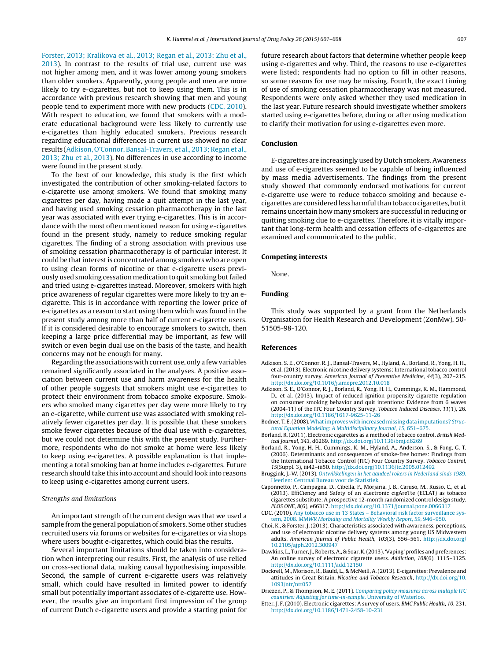<span id="page-7-0"></span>Forster, 2013; Kralikova et al., 2013; Regan et al., 2013; Zhu et al., 2013). In contrast to the results of trial use, current use was not higher among men, and it was lower among young smokers than older smokers. Apparently, young people and men are more likely to try e-cigarettes, but not to keep using them. This is in accordance with previous research showing that men and young people tend to experiment more with new products (CDC, 2010). With respect to education, we found that smokers with a moderate educational background were less likely to currently use e-cigarettes than highly educated smokers. Previous research regarding educational differences in current use showed no clear results (Adkison, O'Connor, Bansal-Travers, et al., 2013; Regan et al., 2013; Zhu et al., 2013). No differences in use according to income were found in the present study.

To the best of our knowledge, this study is the first which investigated the contribution of other smoking-related factors to e-cigarette use among smokers. We found that smoking many cigarettes per day, having made a quit attempt in the last year, and having used smoking cessation pharmacotherapy in the last year was associated with ever trying e-cigarettes. This is in accordance with the most often mentioned reason for using e-cigarettes found in the present study, namely to reduce smoking regular cigarettes. The finding of a strong association with previous use of smoking cessation pharmacotherapy is of particular interest. It could be that interest is concentrated among smokers who are open to using clean forms of nicotine or that e-cigarette users previously used smoking cessation medication to quit smoking but failed and tried using e-cigarettes instead. Moreover, smokers with high price awareness of regular cigarettes were more likely to try an ecigarette. This is in accordance with reporting the lower price of e-cigarettes as a reason to start using them which was found in the present study among more than half of current e-cigarette users. If it is considered desirable to encourage smokers to switch, then keeping a large price differential may be important, as few will switch or even begin dual use on the basis of the taste, and health concerns may not be enough for many.

Regarding the associations with current use, only a few variables remained significantly associated in the analyses. A positive association between current use and harm awareness for the health of other people suggests that smokers might use e-cigarettes to protect their environment from tobacco smoke exposure. Smokers who smoked many cigarettes per day were more likely to try an e-cigarette, while current use was associated with smoking relatively fewer cigarettes per day. It is possible that these smokers smoke fewer cigarettes because of the dual use with e-cigarettes, but we could not determine this with the present study. Furthermore, respondents who do not smoke at home were less likely to keep using e-cigarettes. A possible explanation is that implementing a total smoking ban at home includes e-cigarettes. Future research should take this into account and should look into reasons to keep using e-cigarettes among current users.

### Strengths and limitations

An important strength of the current design was that we used a sample from the general population of smokers. Some other studies recruited users via forums or websites for e-cigarettes or via shops where users bought e-cigarettes, which could bias the results.

Several important limitations should be taken into consideration when interpreting our results. First, the analysis of use relied on cross-sectional data, making causal hypothesising impossible. Second, the sample of current e-cigarette users was relatively small, which could have resulted in limited power to identify small but potentially important associates of e-cigarette use. However, the results give an important first impression of the group of current Dutch e-cigarette users and provide a starting point for

future research about factors that determine whether people keep using e-cigarettes and why. Third, the reasons to use e-cigarettes were listed; respondents had no option to fill in other reasons, so some reasons for use may be missing. Fourth, the exact timing of use of smoking cessation pharmacotherapy was not measured. Respondents were only asked whether they used medication in the last year. Future research should investigate whether smokers started using e-cigarettes before, during or after using medication to clarify their motivation for using e-cigarettes even more.

## **Conclusion**

E-cigarettes are increasingly used by Dutch smokers. Awareness and use of e-cigarettes seemed to be capable of being influenced by mass media advertisements. The findings from the present study showed that commonly endorsed motivations for current e-cigarette use were to reduce tobacco smoking and because ecigarettes are consideredlessharmfulthantobacco cigarettes, butit remains uncertain how many smokers are successful in reducing or quitting smoking due to e-cigarettes. Therefore, it is vitally important that long-term health and cessation effects of e-cigarettes are examined and communicated to the public.

## **Competing interests**

None.

## **Funding**

This study was supported by a grant from the Netherlands Organisation for Health Research and Development (ZonMw), 50- 51505-98-120.

#### **References**

- Adkison, S. E., O'Connor, R. J., Bansal-Travers, M., Hyland, A., Borland, R., Yong, H. H., et al. (2013). Electronic nicotine delivery systems: International tobacco control four-country survey. American Journal of Preventive Medicine, 44(3), 207–215. [http://dx.doi.org/10.1016/j.amepre.2012.10.018](dx.doi.org/10.1016/j.amepre.2012.10.018)
- Adkison, S. E., O'Connor, R. J., Borland, R., Yong, H. H., Cummings, K. M., Hammond, D., et al. (2013). Impact of reduced ignition propensity cigarette regulation on consumer smoking behavior and quit intentions: Evidence from 6 waves (2004-11) of the ITC Four Country Survey. Tobacco Induced Diseases, 11(1), 26. [http://dx.doi.org/10.1186/1617-9625-11-26](dx.doi.org/10.1186/1617-9625-11-26)
- Bodner, T. E.(2008).[Whatimproves](http://refhub.elsevier.com/S0955-3959(14)00365-X/sbref0015) [with](http://refhub.elsevier.com/S0955-3959(14)00365-X/sbref0015) [increased](http://refhub.elsevier.com/S0955-3959(14)00365-X/sbref0015) [missing](http://refhub.elsevier.com/S0955-3959(14)00365-X/sbref0015) [data](http://refhub.elsevier.com/S0955-3959(14)00365-X/sbref0015) [imputations?](http://refhub.elsevier.com/S0955-3959(14)00365-X/sbref0015) [Struc](http://refhub.elsevier.com/S0955-3959(14)00365-X/sbref0015)[tural](http://refhub.elsevier.com/S0955-3959(14)00365-X/sbref0015) [Equation](http://refhub.elsevier.com/S0955-3959(14)00365-X/sbref0015) [Modeling:](http://refhub.elsevier.com/S0955-3959(14)00365-X/sbref0015) [A](http://refhub.elsevier.com/S0955-3959(14)00365-X/sbref0015) [Multidisciplinary](http://refhub.elsevier.com/S0955-3959(14)00365-X/sbref0015) [Journal](http://refhub.elsevier.com/S0955-3959(14)00365-X/sbref0015)[,](http://refhub.elsevier.com/S0955-3959(14)00365-X/sbref0015) [15](http://refhub.elsevier.com/S0955-3959(14)00365-X/sbref0015)[,](http://refhub.elsevier.com/S0955-3959(14)00365-X/sbref0015) [651–675.](http://refhub.elsevier.com/S0955-3959(14)00365-X/sbref0015)
- Borland, R. (2011). Electronic cigarettes as a method of tobacco control. British Medical Journal, 343, d6269. [http://dx.doi.org/10.1136/bmj.d6269](dx.doi.org/10.1136/bmj.d6269)
- Borland, R., Yong, H. H., Cummings, K. M., Hyland, A., Anderson, S., & Fong, G. T. (2006). Determinants and consequences of smoke-free homes: Findings from the International Tobacco Control (ITC) Four Country Survey. Tobacco Control, 15(Suppl. 3), iii42–iii50. [http://dx.doi.org/10.1136/tc.2005.012492](dx.doi.org/10.1136/tc.2005.012492)
- Bruggink, J.-W. (2013). [Ontwikkelingen](http://refhub.elsevier.com/S0955-3959(14)00365-X/sbref0030) [in](http://refhub.elsevier.com/S0955-3959(14)00365-X/sbref0030) [het](http://refhub.elsevier.com/S0955-3959(14)00365-X/sbref0030) [aandeel](http://refhub.elsevier.com/S0955-3959(14)00365-X/sbref0030) [rokers](http://refhub.elsevier.com/S0955-3959(14)00365-X/sbref0030) [in](http://refhub.elsevier.com/S0955-3959(14)00365-X/sbref0030) [Nederland](http://refhub.elsevier.com/S0955-3959(14)00365-X/sbref0030) [sinds](http://refhub.elsevier.com/S0955-3959(14)00365-X/sbref0030) [1989](http://refhub.elsevier.com/S0955-3959(14)00365-X/sbref0030). [Heerlen:](http://refhub.elsevier.com/S0955-3959(14)00365-X/sbref0030) [Centraal](http://refhub.elsevier.com/S0955-3959(14)00365-X/sbref0030) [Bureau](http://refhub.elsevier.com/S0955-3959(14)00365-X/sbref0030) [voor](http://refhub.elsevier.com/S0955-3959(14)00365-X/sbref0030) [de](http://refhub.elsevier.com/S0955-3959(14)00365-X/sbref0030) [Statistiek.](http://refhub.elsevier.com/S0955-3959(14)00365-X/sbref0030)
- Caponnetto, P., Campagna, D., Cibella, F., Morjaria, J. B., Caruso, M., Russo, C., et al. (2013). EffiCiency and Safety of an eLectronic cigAreTte (ECLAT) as tobacco cigarettes substitute: A prospective 12-month randomized control design study. PLOS ONE, 8(6), e66317. [http://dx.doi.org/10.1371/journal.pone.0066317](dx.doi.org/10.1371/journal.pone.0066317)
- CDC. (2010). [Any](http://refhub.elsevier.com/S0955-3959(14)00365-X/sbref0040) [tobacco](http://refhub.elsevier.com/S0955-3959(14)00365-X/sbref0040) [use](http://refhub.elsevier.com/S0955-3959(14)00365-X/sbref0040) [in](http://refhub.elsevier.com/S0955-3959(14)00365-X/sbref0040) [13](http://refhub.elsevier.com/S0955-3959(14)00365-X/sbref0040) [States](http://refhub.elsevier.com/S0955-3959(14)00365-X/sbref0040) [–](http://refhub.elsevier.com/S0955-3959(14)00365-X/sbref0040) [Behavioral](http://refhub.elsevier.com/S0955-3959(14)00365-X/sbref0040) [risk](http://refhub.elsevier.com/S0955-3959(14)00365-X/sbref0040) [factor](http://refhub.elsevier.com/S0955-3959(14)00365-X/sbref0040) [surveillance](http://refhub.elsevier.com/S0955-3959(14)00365-X/sbref0040) [sys](http://refhub.elsevier.com/S0955-3959(14)00365-X/sbref0040)[tem,](http://refhub.elsevier.com/S0955-3959(14)00365-X/sbref0040) [2008.](http://refhub.elsevier.com/S0955-3959(14)00365-X/sbref0040) [MMWR](http://refhub.elsevier.com/S0955-3959(14)00365-X/sbref0040) [Morbidity](http://refhub.elsevier.com/S0955-3959(14)00365-X/sbref0040) [and](http://refhub.elsevier.com/S0955-3959(14)00365-X/sbref0040) [Mortality](http://refhub.elsevier.com/S0955-3959(14)00365-X/sbref0040) [Weekly](http://refhub.elsevier.com/S0955-3959(14)00365-X/sbref0040) [Report](http://refhub.elsevier.com/S0955-3959(14)00365-X/sbref0040)[,](http://refhub.elsevier.com/S0955-3959(14)00365-X/sbref0040) [59](http://refhub.elsevier.com/S0955-3959(14)00365-X/sbref0040)[,](http://refhub.elsevier.com/S0955-3959(14)00365-X/sbref0040) [946–950.](http://refhub.elsevier.com/S0955-3959(14)00365-X/sbref0040)
- Choi, K., & Forster, J. (2013). Characteristics associated with awareness, perceptions, and use of electronic nicotine delivery systems among young US Midwestern adults. American Journal of Public Health, 103(3), 556–561. [http://dx.doi.org/](dx.doi.org/10.2105/ajph.2012.300947) [10.2105/ajph.2012.300947](dx.doi.org/10.2105/ajph.2012.300947)
- Dawkins, L., Turner,J.,Roberts,A., & Soar,K.(2013). 'Vaping' profiles and preferences: An online survey of electronic cigarette users. Addiction, 108(6), 1115–1125. [http://dx.doi.org/10.1111/add.12150](dx.doi.org/10.1111/add.12150)
- Dockrell, M., Morison, R., Bauld, L., & McNeill, A. (2013). E-cigarettes: Prevalence and attitudes in Great Britain. Nicotine and Tobacco Research, [http://dx.doi.org/10.](dx.doi.org/10.1093/ntr/ntt057) [1093/ntr/ntt057](dx.doi.org/10.1093/ntr/ntt057)
- Driezen, P., & Thompson, M. E. (2011). [Comparing](http://refhub.elsevier.com/S0955-3959(14)00365-X/sbref0060) [policy](http://refhub.elsevier.com/S0955-3959(14)00365-X/sbref0060) [measures](http://refhub.elsevier.com/S0955-3959(14)00365-X/sbref0060) [across](http://refhub.elsevier.com/S0955-3959(14)00365-X/sbref0060) [multiple](http://refhub.elsevier.com/S0955-3959(14)00365-X/sbref0060) [ITC](http://refhub.elsevier.com/S0955-3959(14)00365-X/sbref0060) [countries:](http://refhub.elsevier.com/S0955-3959(14)00365-X/sbref0060) [Adjusting](http://refhub.elsevier.com/S0955-3959(14)00365-X/sbref0060) [for](http://refhub.elsevier.com/S0955-3959(14)00365-X/sbref0060) [time-in-sample](http://refhub.elsevier.com/S0955-3959(14)00365-X/sbref0060)[.](http://refhub.elsevier.com/S0955-3959(14)00365-X/sbref0060) [University](http://refhub.elsevier.com/S0955-3959(14)00365-X/sbref0060) [of](http://refhub.elsevier.com/S0955-3959(14)00365-X/sbref0060) [Waterloo.](http://refhub.elsevier.com/S0955-3959(14)00365-X/sbref0060)
- Etter, J. F. (2010). Electronic cigarettes: A survey of users. BMC Public Health, 10, 231. [http://dx.doi.org/10.1186/1471-2458-10-231](dx.doi.org/10.1186/1471-2458-10-231)